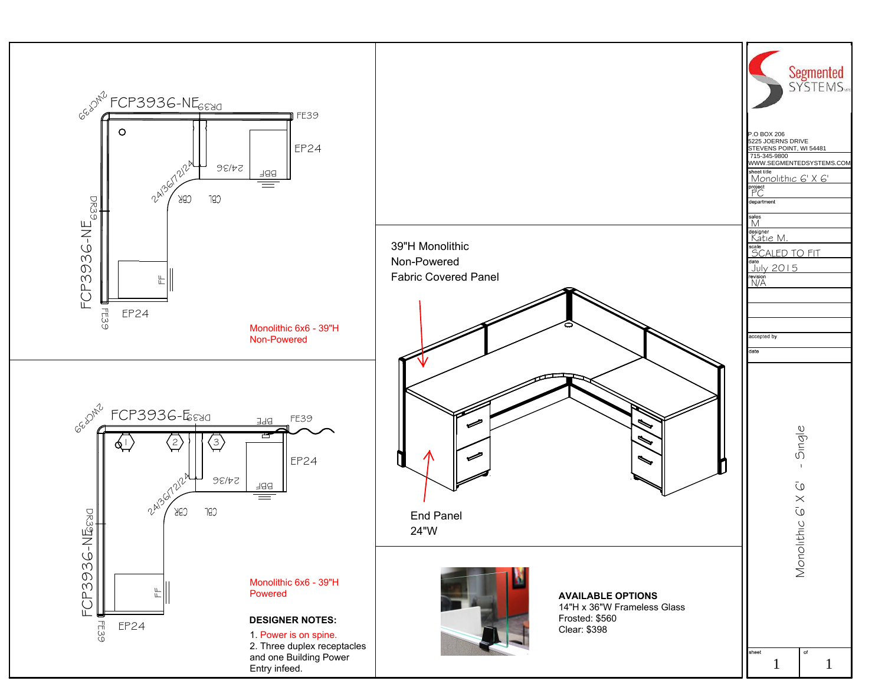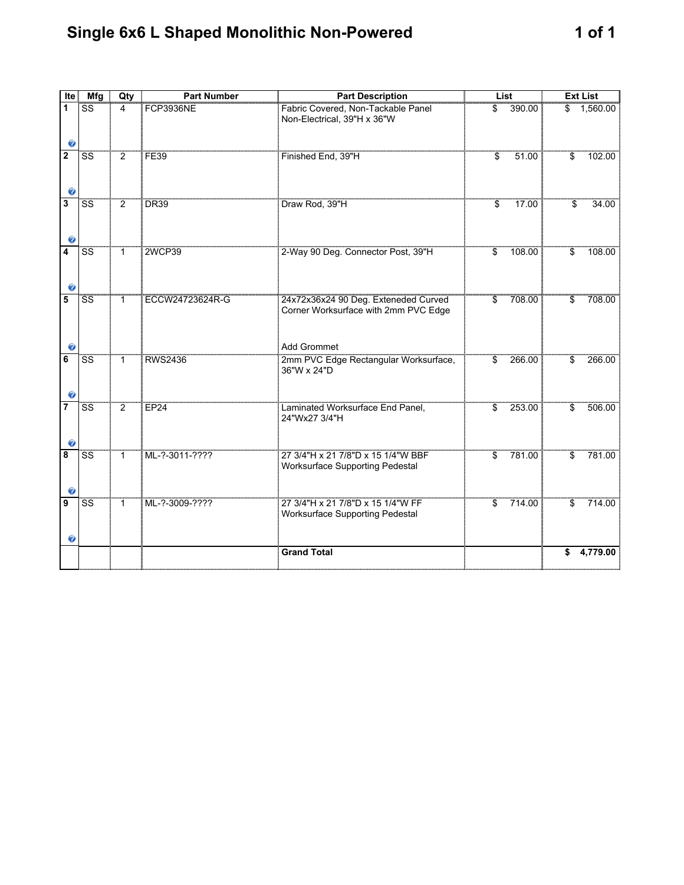## Single 6x6 L Shaped Monolithic Non-Powered 1 of 1

| Ite                 | <b>Mfg</b>             | Qty            | Number           | <b>Part Description</b>                                                                     | List       |        | Ext List |          |
|---------------------|------------------------|----------------|------------------|---------------------------------------------------------------------------------------------|------------|--------|----------|----------|
| 1<br>ø              | SS                     | 4              | <b>FCP3936NE</b> | Fabric Covered, Non-Tackable Panel<br>Non-Electrical, 39"H x 36"W                           |            | 390.00 |          | 1,560.00 |
| $\overline{2}$<br>ø | SS                     | $\overline{2}$ | <b>FE39</b>      | Finished End, 39"H                                                                          | $\ddot{s}$ | 51.00  | \$       | 102.00   |
| 3<br>ø              | <b>SS</b>              | $\overline{2}$ | <b>DR39</b>      | Draw Rod, 39"H                                                                              | \$         | 17.00  | \$       | 34.00    |
| 4<br>Ø              | SS                     | $\mathbf{1}$   | 2WCP39           | 2-Way 90 Deg. Connector Post, 39"H                                                          | \$         | 108.00 | \$       | 108.00   |
| 5                   | $\overline{\text{ss}}$ | $\mathbf{1}$   | ECCW24723624R-G  | 24x72x36x24 90 Deg. Exteneded Curved<br>Corner Worksurface with 2mm PVC Edge<br>Add Grommet | \$         | 708.00 | \$       | 708.00   |
| 6                   | <b>SS</b>              | 1              | <b>RWS2436</b>   | 2mm PVC Edge Rectangular Worksurface,<br>36"W x 24"D                                        | \$         | 266.00 | \$       | 266.00   |
| $\overline{7}$<br>Ø | $\overline{\text{SS}}$ | $\overline{2}$ | EP24             | Laminated Worksurface End Panel,<br>24"Wx27 3/4"H                                           | \$         | 253.00 | \$       | 506.00   |
| 8<br>Ø              | SS                     | $\mathbf{1}$   | ML-?-3011-????   | 27 3/4"H x 21 7/8"D x 15 1/4"W BBF<br>Worksurface Supporting Pedestal                       | \$         | 781.00 | \$       | 781.00   |
| 9<br>Ø              | $\overline{\text{SS}}$ | $\mathbf{1}$   | ML-?-3009-????   | 27 3/4"H x 21 7/8"D x 15 1/4"W FF<br><b>Worksurface Supporting Pedestal</b>                 | \$         | 714.00 | \$       | 714.00   |
|                     |                        |                |                  | <b>Grand Total</b>                                                                          |            |        | S        | 4,779.00 |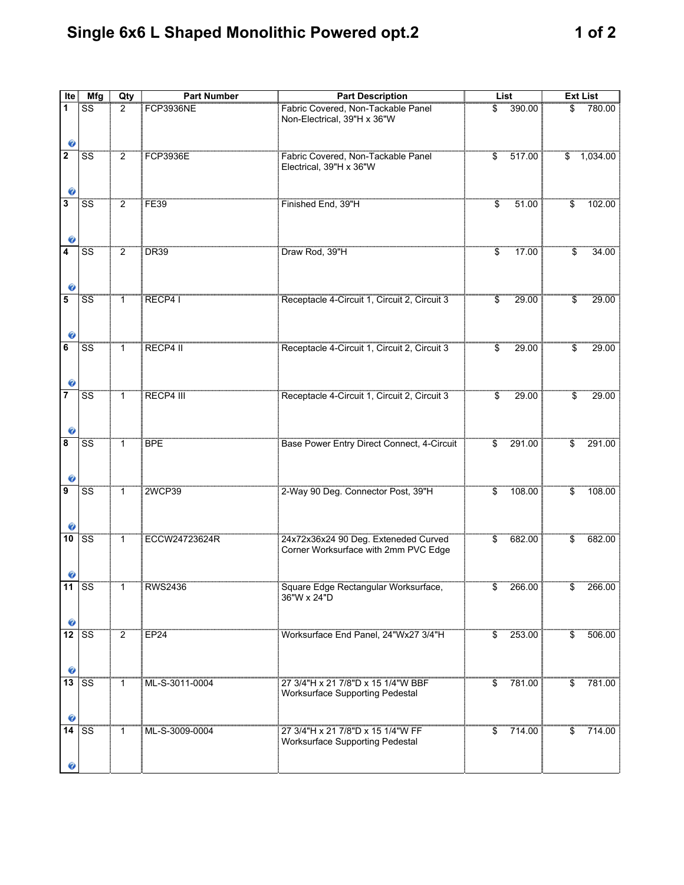## **Single 6x6 L Shaped Monolithic Powered opt.2 1 of 2**

| Ite              | Mfg                    | Qty            | <b>Part Number</b> | <b>Part Description</b>                                                      | List                     |          | <b>Ext List</b>          |             |
|------------------|------------------------|----------------|--------------------|------------------------------------------------------------------------------|--------------------------|----------|--------------------------|-------------|
| 1<br>Ø           | SS                     | 2              | <b>FCP3936NE</b>   | Fabric Covered, Non-Tackable Panel<br>Non-Electrical, 39"H x 36"W            | \$                       | 390.00   | \$                       | 780.00      |
| $\mathbf 2$<br>Ø | $\overline{\text{SS}}$ | $\overline{2}$ | <b>FCP3936E</b>    | Fabric Covered, Non-Tackable Panel<br>Electrical, 39"H x 36"W                | \$                       | 517.00   |                          | \$ 1,034.00 |
| 3<br>Ø           | <b>SS</b>              | $\overline{2}$ | <b>FE39</b>        | Finished End, 39"H                                                           | $\overline{\mathbb{S}}$  | 51.00    | $\overline{\mathcal{S}}$ | 102.00      |
| 4                | SS                     | $\overline{2}$ | <b>DR39</b>        | Draw Rod, 39"H                                                               | $\overline{\$}$          | 17.00    | \$                       | 34.00       |
| 5<br>Ø           | SS                     | $\mathbf{1}$   | RECP4 I            | Receptacle 4-Circuit 1, Circuit 2, Circuit 3                                 | \$                       | 29.00    | \$                       | 29.00       |
| 6<br>ø           | SS                     | $\mathbf{1}$   | RECP4 II           | Receptacle 4-Circuit 1, Circuit 2, Circuit 3                                 | \$                       | 29.00    | \$                       | 29.00       |
| 7<br>Ø           | SS                     | $\mathbf{1}$   | RECP4 III          | Receptacle 4-Circuit 1, Circuit 2, Circuit 3                                 | \$                       | 29.00    | \$                       | 29.00       |
| 8<br>Ø           | <b>SS</b>              | $\mathbf{1}$   | <b>BPE</b>         | Base Power Entry Direct Connect, 4-Circuit                                   | \$                       | 291.00   | \$                       | 291.00      |
| 9                | <b>SS</b>              | $\mathbf{1}$   | <b>2WCP39</b>      | 2-Way 90 Deg. Connector Post, 39"H                                           | \$                       | 108.00   | \$                       | 108.00      |
| 10               | <b>SS</b>              | $\overline{1}$ | ECCW24723624R      | 24x72x36x24 90 Deg. Exteneded Curved<br>Corner Worksurface with 2mm PVC Edge | $\overline{\mathcal{L}}$ | 682.00   | $\overline{\mathcal{L}}$ | 682.00      |
| 11               | SS                     |                | <b>RWS2436</b>     | Square Edge Rectangular Worksurface<br>36"W x 24"D                           |                          | 266.00 L |                          | 266.00      |
| 12               | <b>SS</b>              | $\overline{2}$ | <b>EP24</b>        | Worksurface End Panel, 24"Wx27 3/4"H                                         | \$                       | 253.00   | \$                       | 506.00      |
| 13<br>Ø          | <b>SS</b>              | 1              | ML-S-3011-0004     | 27 3/4"H x 21 7/8"D x 15 1/4"W BBF<br><b>Worksurface Supporting Pedestal</b> | \$                       | 781.00   | \$                       | 781.00      |
| 14               | SS                     | 1              | ML-S-3009-0004     | 27 3/4"H x 21 7/8"D x 15 1/4"W FF<br><b>Worksurface Supporting Pedestal</b>  | \$                       | 714.00   | S                        | 714.00      |